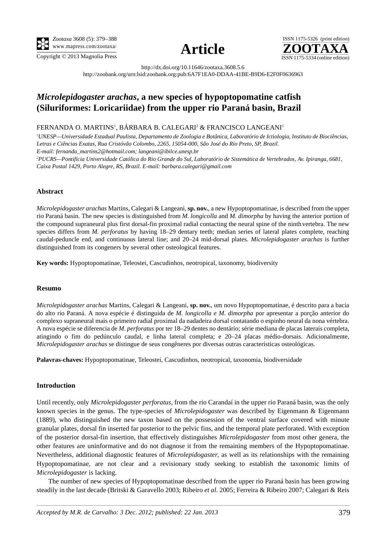





http://dx.doi.org/10.11646/zootaxa.3608.5.6

http://zoobank.org/urn:lsid:zoobank.org:pub:6A7F1EA0-DDAA-41BE-B9D6-E2F0F0636963

# *Microlepidogaster arachas***, a new species of hypoptopomatine catfish (Siluriformes: Loricariidae) from the upper rio Paraná basin, Brazil**

FERNANDA O. MARTINS<sup>1</sup>, BÁRBARA B. CALEGARI<sup>2</sup> & FRANCISCO LANGEANI<sup>1</sup>

*1 UNESP—Universidade Estadual Paulista, Departamento de Zoologia e Botânica, Laboratório de Ictiologia, Instituto de Biociências, Letras e Ciências Exatas, Rua Cristóvão Colombo, 2265, 15054-000, São José do Rio Preto, SP, Brazil.*

*E-mail: fernanda\_martins2@hotmail.com; langeani@ibilce.unesp.br*

*2 PUCRS—Pontifícia Universidade Católica do Rio Grande do Sul, Laboratório de Sistemática de Vertebrados, Av. Ipiranga, 6681, Caixa Postal 1429, Porto Alegre, RS, Brazil. E-mail: barbara.calegari@gmail.com*

# **Abstract**

*Microlepidogaster arachas* Martins, Calegari & Langeani, **sp. nov.**, a new Hypoptopomatinae, is described from the upper rio Paraná basin. The new species is distinguished from *M. longicolla* and *M. dimorpha* by having the anterior portion of the compound supraneural plus first dorsal-fin proximal radial contacting the neural spine of the ninth vertebra. The new species differs from *M. perforatus* by having 18–29 dentary teeth; median series of lateral plates complete, reaching caudal-peduncle end, and continuous lateral line; and 20–24 mid-dorsal plates. *Microlepidogaster arachas* is further distinguished from its congeners by several other osteological features.

**Key words:** Hypoptopomatinae, Teleostei, Cascudinhos, neotropical, taxonomy, biodiversity

## **Resumo**

*Microlepidogaster arachas* Martins, Calegari & Langeani, **sp. nov.**, um novo Hypoptopomatinae, é descrito para a bacia do alto rio Paraná. A nova espécie é distinguida de *M. longicolla e M. dimorpha* por apresentar a porção anterior do complexo supraneural mais o primeiro radial proximal da nadadeira dorsal contatando o espinho neural da nona vértebra. A nova espécie se diferencia de *M. perforatus* por ter 18–29 dentes no dentário; série mediana de placas laterais completa, atingindo o fim do pedúnculo caudal, e linha lateral completa; e 20–24 placas médio-dorsais. Adicionalmente, *Microlepidogaster arachas* se distingue de seus congêneres por diversas outras características osteológicas.

**Palavras-chaves:** Hypoptopomatinae, Teleostei, Cascudinhos, neotropical, taxonomia, biodiversidade

# **Introduction**

Until recently, only *Microlepidogaster perforatus*, from the rio Carandaí in the upper rio Paraná basin, was the only known species in the genus. The type-species of *Microlepidogaster* was described by Eigenmann & Eigenmann (1889), who distinguished the new taxon based on the possession of the ventral surface covered with minute granular plates, dorsal fin inserted far posterior to the pelvic fins, and the temporal plate perforated. With exception of the posterior dorsal-fin insertion, that effectively distinguishes *Microlepidogaster* from most other genera, the other features are uninformative and do not diagnose it from the remaining members of the Hypoptopomatinae. Nevertheless, additional diagnostic features of *Microlepidogaster*, as well as its relationships with the remaining Hypoptopomatinae, are not clear and a revisionary study seeking to establish the taxonomic limits of *Microlepidogaster* is lacking.

The number of new species of Hypoptopomatinae described from the upper rio Paraná basin has been growing steadily in the last decade (Britski & Garavello 2003; Ribeiro *et al*. 2005; Ferreira & Ribeiro 2007; Calegari & Reis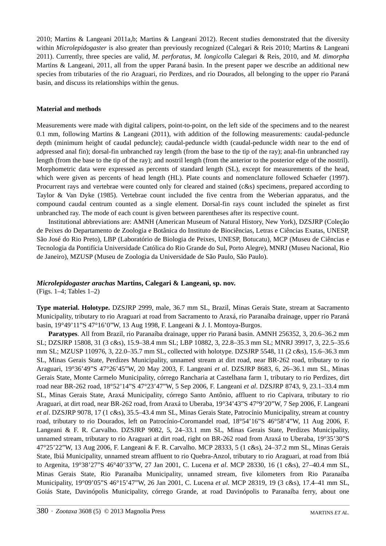2010; Martins & Langeani 2011a,b; Martins & Langeani 2012). Recent studies demonstrated that the diversity within *Microlepidogaster* is also greater than previously recognized (Calegari & Reis 2010; Martins & Langeani 2011). Currently, three species are valid, *M. perforatus*, *M. longicolla* Calegari & Reis, 2010, and *M. dimorpha*  Martins & Langeani, 2011, all from the upper Paraná basin. In the present paper we describe an additional new species from tributaries of the rio Araguari, rio Perdizes, and rio Dourados, all belonging to the upper rio Paraná basin, and discuss its relationships within the genus.

## **Material and methods**

Measurements were made with digital calipers, point-to-point, on the left side of the specimens and to the nearest 0.1 mm, following Martins & Langeani (2011), with addition of the following measurements: caudal-peduncle depth (minimum height of caudal peduncle); caudal-peduncle width (caudal-peduncle width near to the end of adpressed anal fin); dorsal-fin unbranched ray length (from the base to the tip of the ray); anal-fin unbranched ray length (from the base to the tip of the ray); and nostril length (from the anterior to the posterior edge of the nostril). Morphometric data were expressed as percents of standard length (SL), except for measurements of the head, which were given as percents of head length (HL). Plate counts and nomenclature followed Schaefer (1997). Procurrent rays and vertebrae were counted only for cleared and stained (c&s) specimens, prepared according to Taylor & Van Dyke (1985). Vertebrae count included the five centra from the Weberian apparatus, and the compound caudal centrum counted as a single element. Dorsal-fin rays count included the spinelet as first unbranched ray. The mode of each count is given between parentheses after its respective count.

Institutional abbreviations are: AMNH (American Museum of Natural History, New York), DZSJRP (Coleção de Peixes do Departamento de Zoologia e Botânica do Instituto de Biociências, Letras e Ciências Exatas, UNESP, São José do Rio Preto), LBP (Laboratório de Biologia de Peixes, UNESP, Botucatu), MCP (Museu de Ciências e Tecnologia da Pontifícia Universidade Católica do Rio Grande do Sul, Porto Alegre), MNRJ (Museu Nacional, Rio de Janeiro), MZUSP (Museu de Zoologia da Universidade de São Paulo, São Paulo).

# *Microlepidogaster arachas* **Martins, Calegari & Langeani, sp. nov.**

(Figs. 1–4; Tables 1–2)

**Type material. Holotype.** DZSJRP 2999, male, 36.7 mm SL, Brazil, Minas Gerais State, stream at Sacramento Municipality, tributary to rio Araguari at road from Sacramento to Araxá, rio Paranaíba drainage, upper rio Paraná basin, 19°49'11"S 47°16'0"W, 13 Aug 1998, F. Langeani & J. I. Montoya-Burgos.

**Paratypes**. All from Brazil, rio Paranaíba drainage, upper rio Paraná basin. AMNH 256352, 3, 20.6–36.2 mm SL; DZSJRP 15808, 31 (3 c&s), 15.9–38.4 mm SL; LBP 10882, 3, 22.8–35.3 mm SL; MNRJ 39917, 3, 22.5–35.6 mm SL; MZUSP 110976, 3, 22.0–35.7 mm SL, collected with holotype. DZSJRP 5548, 11 (2 c&s), 15.6–36.3 mm SL, Minas Gerais State, Perdizes Municipality, unnamed stream at dirt road, near BR-262 road, tributary to rio Araguari, 19°36'49"S 47°26'45"W, 20 May 2003, F. Langeani *et al*. DZSJRP 8683, 6, 26–36.1 mm SL, Minas Gerais State, Monte Carmelo Municipality, córrego Rancharia at Castelhana farm 1, tributary to rio Perdizes, dirt road near BR-262 road, 18°52'14"S 47°23'47"W, 5 Sep 2006, F. Langeani *et al*. DZSJRP 8743, 9, 23.1–33.4 mm SL, Minas Gerais State, Araxá Municipality, córrego Santo Antônio, affluent to rio Capivara, tributary to rio Araguari, at dirt road, near BR-262 road, from Araxá to Uberaba, 19°34'43"S 47°9'20"W, 7 Sep 2006, F. Langeani *et al*. DZSJRP 9078, 17 (1 c&s), 35.5–43.4 mm SL, Minas Gerais State, Patrocínio Municipality, stream at country road, tributary to rio Dourados, left on Patrocínio-Coromandel road, 18°54'16"S 46°58'4"W, 11 Aug 2006, F. Langeani & F. R. Carvalho. DZSJRP 9082, 5, 24–33.1 mm SL, Minas Gerais State, Perdizes Municipality, unnamed stream, tributary to rio Araguari at dirt road, right on BR-262 road from Araxá to Uberaba, 19°35'30"S 47°25'22"W, 13 Aug 2006, F. Langeani & F. R. Carvalho. MCP 28333, 5 (1 c&s), 24–37.2 mm SL, Minas Gerais State, Ibiá Municipality, unnamed stream affluent to rio Quebra-Anzol, tributary to rio Araguari, at road from Ibiá to Argenita, 19°38'27"S 46°40'33"W, 27 Jan 2001, C. Lucena *et al*. MCP 28330, 16 (1 c&s), 27–40.4 mm SL, Minas Gerais State, Rio Paranaíba Municipality, unnamed stream, five kilometers from Rio Paranaíba Municipality, 19°09'05"S 46°15'47"W, 26 Jan 2001, C. Lucena *et al.* MCP 28319, 19 (3 c&s), 17.4–41 mm SL, Goiás State, Davinópolis Municipality, córrego Grande, at road Davinópolis to Paranaíba ferry, about one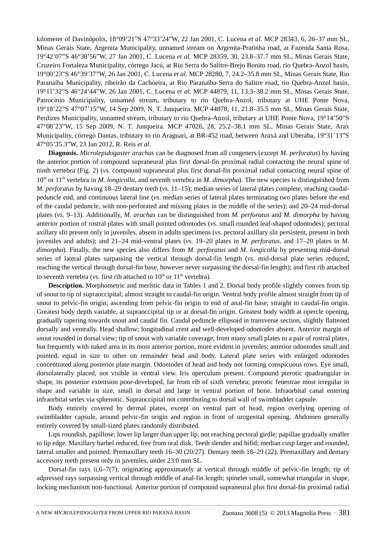kilometer of Davinópolis, 18°09'21"S 47°33'24"W, 22 Jan 2001, C. Lucena *et al.* MCP 28343, 6, 26–37 mm SL, Minas Gerais State, Argenita Municipality, unnamed stream on Argenita-Pratinha road, at Fazenda Santa Rosa, 19°42'07"S 46°38'56"W, 27 Jan 2001, C. Lucena *et al.* MCP 28359, 30, 23.8–37.7 mm SL, Minas Gerais State, Cruzeiro Fortaleza Municipality, córrego Jacú, at Rio Serra do Salitre-Brejo Bonito road, rio Quebra-Anzol basin, 19°00'23"S 46°39'37"W, 26 Jan 2001, C. Lucena *et al.* MCP 28280, 7, 24.2–35.8 mm SL, Minas Gerais State, Rio Paranaíba Municipality, ribeirão da Cachoeira, at Rio Paranaíba-Serra do Salitre road, rio Quebra-Anzol basin, 19°11'32"S 46°24'44"W, 26 Jan 2001, C. Lucena *et al.* MCP 44879, 11, 13.3–38.2 mm SL, Minas Gerais State, Patrocínio Municipality, unnamed stream, tributary to rio Quebra-Anzol, tributary at UHE Ponte Nova, 19°18'22"S 47°07'15"W, 14 Sep 2009, N. T. Junqueira. MCP 44878, 11, 21.8–35.5 mm SL, Minas Gerais State, Perdizes Municipality, unnamed stream, tributary to rio Quebra-Anzol, tributary at UHE Ponte Nova, 19°14'50"S 47°08'23"W, 15 Sep 2009, N. T. Junqueira. MCP 47026, 28, 25.2–38.1 mm SL, Minas Gerais State, Arax Municipality, córrego Dantas, tributary to rio Araguari, at BR-452 road, between Araxá and Uberaba, 19°31'13"S 47°05'35.3"W, 23 Jan 2012, R. Reis *et al*.

**Diagnosis.** *Microlepidogaster arachas* can be diagnosed from all congeners (except *M. perforatus*) by having the anterior portion of compound supraneural plus first dorsal-fin proximal radial contacting the neural spine of ninth vertebra (Fig. 2) (*vs*. compound supraneural plus first dorsal-fin proximal radial contacting neural spine of 10<sup>th</sup> or 11<sup>th</sup> vertebra in *M. longicolla*, and seventh vertebra in *M. dimorpha*). The new species is distinguished from *M. perforatus* by having 18–29 dentary teeth (*vs*. 11–15); median series of lateral plates complete, reaching caudalpeduncle end, and continuous lateral line (*vs*. median series of lateral plates terminating two plates before the end of the caudal peduncle, with non-perforated and missing plates in the middle of the series); and 20–24 mid-dorsal plates (*vs*. 9–13). Additionally, *M*. *arachas* can be distinguished from *M. perforatus* and *M. dimorpha* by having anterior portion of rostral plates with small pointed odontodes (*vs*. small rounded leaf-shaped odontodes); pectoral axillary slit present only in juveniles, absent in adults specimens (*vs*. pectoral axillary slit persistent, present in both juveniles and adults); and 21–24 mid-ventral plates (*vs*. 19–20 plates in *M. perforatus*, and 17–20 plates in *M. dimorpha*). Finally, the new species also differs from *M. perforatus* and *M. longicolla* by presenting mid-dorsal series of lateral plates surpassing the vertical through dorsal-fin length (*vs*. mid-dorsal plate series reduced, reaching the vertical through dorsal-fin base, however never surpassing the dorsal-fin length); and first rib attached to seventh vertebra (*vs.* first rib attached to  $10<sup>th</sup>$  or  $11<sup>th</sup>$  vertebra).

**Description.** Morphometric and meristic data in Tables 1 and 2. Dorsal body profile slightly convex from tip of snout to tip of supraoccipital; almost straight to caudal-fin origin. Ventral body profile almost straight from tip of snout to pelvic-fin origin; ascending from pelvic-fin origin to end of anal-fin base; straight to caudal-fin origin. Greatest body depth variable, at supraoccipital tip or at dorsal-fin origin. Greatest body width at opercle opening, gradually tapering towards snout and caudal fin. Caudal peduncle ellipsoid in transverse section, slightly flattened dorsally and ventrally. Head shallow; longitudinal crest and well-developed odontodes absent. Anterior margin of snout rounded in dorsal view; tip of snout with variable coverage, from many small plates to a pair of rostral plates, but frequently with naked area in its most anterior portion, more evident in juveniles; anterior odontodes small and pointed, equal in size to other on remainder head and body. Lateral plate series with enlarged odontodes concentrated along posterior plate margin. Odontodes of head and body not forming conspicuous rows. Eye small, dorsolaterally placed, not visible in ventral view. Iris operculum present. Compound pterotic quadrangular in shape, its posterior extension poor-developed, far from rib of sixth vertebra; pterotic fenestrae most irregular in shape and variable in size, small in dorsal and large in ventral portion of bone. Infraorbital canal entering infraorbital series via sphenotic. Supraoccipital not contributing to dorsal wall of swimbladder capsule.

Body entirely covered by dermal plates, except on ventral part of head, region overlying opening of swimbladder capsule, around pelvic-fin origin and region in front of urogenital opening. Abdomen generally entirely covered by small-sized plates randomly distributed.

Lips roundish, papillose; lower lip larger than upper lip, not reaching pectoral girdle; papillae gradually smaller to lip edge. Maxillary barbel reduced, free from oral disk. Teeth slender and bifid; median cusp larger and rounded, lateral smaller and pointed. Premaxillary teeth 16–30 (20/27). Dentary teeth 18–29 (22). Premaxillary and dentary accessory teeth present only in juveniles, under 23.0 mm SL.

Dorsal-fin rays ii,6–7(7); originating approximately at vertical through middle of pelvic-fin length; tip of adpressed rays surpassing vertical through middle of anal-fin length; spinelet small, somewhat triangular in shape, locking mechanism non-functional. Anterior portion of compound supraneural plus first dorsal-fin proximal radial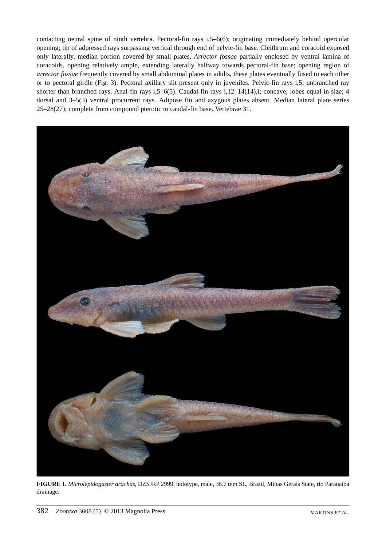contacting neural spine of ninth vertebra. Pectoral-fin rays i,5–6(6); originating immediately behind opercular opening; tip of adpressed rays surpassing vertical through end of pelvic-fin base. Cleithrum and coracoid exposed only laterally, median portion covered by small plates. *Arrector fossae* partially enclosed by ventral lamina of coracoids, opening relatively ample, extending laterally halfway towards pectoral-fin base; opening region of *arrector fossae* frequently covered by small abdominal plates in adults, these plates eventually fused to each other or to pectoral girdle (Fig. 3). Pectoral axillary slit present only in juveniles. Pelvic-fin rays i,5; unbranched ray shorter than branched rays. Anal-fin rays i,5–6(5). Caudal-fin rays i,12–14(14),i; concave; lobes equal in size; 4 dorsal and 3–5(3) ventral procurrent rays. Adipose fin and azygous plates absent. Median lateral plate series 25–28(27); complete from compound pterotic to caudal-fin base. Vertebrae 31.



**FIGURE 1.** *Microlepidogaster arachas*, DZSJRP 2999, holotype, male, 36.7 mm SL, Brazil, Minas Gerais State, rio Paranaíba drainage.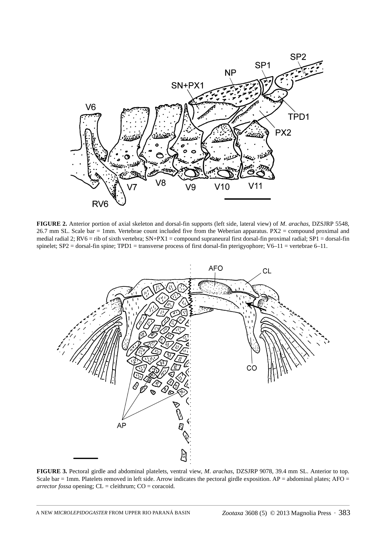



**FIGURE 2.** Anterior portion of axial skeleton and dorsal-fin supports (left side, lateral view) of *M*. *arachas*, DZSJRP 5548, 26.7 mm SL. Scale bar = 1mm. Vertebrae count included five from the Weberian apparatus. PX2 = compound proximal and medial radial 2;  $RV6 = rib$  of sixth vertebra;  $SN+PX1 =$  compound supraneural first dorsal-fin proximal radial;  $SP1 =$  dorsal-fin spinelet; SP2 = dorsal-fin spine; TPD1 = transverse process of first dorsal-fin pterigyophore; V6–11 = vertebrae 6–11.



**FIGURE 3.** Pectoral girdle and abdominal platelets, ventral view, *M*. *arachas*, DZSJRP 9078, 39.4 mm SL. Anterior to top. Scale bar = 1mm. Platelets removed in left side. Arrow indicates the pectoral girdle exposition.  $AP =$  abdominal plates;  $AP =$ *arrector fossa* opening;  $CL =$  cleithrum;  $CO =$  coracoid.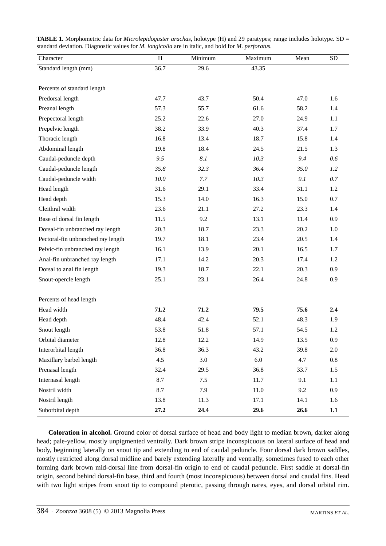| <b>TABLE 1.</b> Morphometric data for <i>Microlepidogaster arachas</i> , holotype (H) and 29 paratypes; range includes holotype. SD = |
|---------------------------------------------------------------------------------------------------------------------------------------|
| standard deviation. Diagnostic values for <i>M. longicolla</i> are in italic, and bold for <i>M. perforatus.</i>                      |

| Character                          | H    | Minimum | Maximum | Mean | <b>SD</b> |
|------------------------------------|------|---------|---------|------|-----------|
| Standard length (mm)               | 36.7 | 29.6    | 43.35   |      |           |
|                                    |      |         |         |      |           |
| Percents of standard length        |      |         |         |      |           |
| Predorsal length                   | 47.7 | 43.7    | 50.4    | 47.0 | 1.6       |
| Preanal length                     | 57.3 | 55.7    | 61.6    | 58.2 | 1.4       |
| Prepectoral length                 | 25.2 | 22.6    | 27.0    | 24.9 | 1.1       |
| Prepelvic length                   | 38.2 | 33.9    | 40.3    | 37.4 | 1.7       |
| Thoracic length                    | 16.8 | 13.4    | 18.7    | 15.8 | 1.4       |
| Abdominal length                   | 19.8 | 18.4    | 24.5    | 21.5 | 1.3       |
| Caudal-peduncle depth              | 9.5  | 8.1     | 10.3    | 9.4  | 0.6       |
| Caudal-peduncle length             | 35.8 | 32.3    | 36.4    | 35.0 | 1.2       |
| Caudal-peduncle width              | 10.0 | 7.7     | 10.3    | 9.1  | 0.7       |
| Head length                        | 31.6 | 29.1    | 33.4    | 31.1 | 1.2       |
| Head depth                         | 15.3 | 14.0    | 16.3    | 15.0 | 0.7       |
| Cleithral width                    | 23.6 | 21.1    | 27.2    | 23.3 | 1.4       |
| Base of dorsal fin length          | 11.5 | 9.2     | 13.1    | 11.4 | 0.9       |
| Dorsal-fin unbranched ray length   | 20.3 | 18.7    | 23.3    | 20.2 | 1.0       |
| Pectoral-fin unbranched ray length | 19.7 | 18.1    | 23.4    | 20.5 | 1.4       |
| Pelvic-fin unbranched ray length   | 16.1 | 13.9    | 20.1    | 16.5 | 1.7       |
| Anal-fin unbranched ray length     | 17.1 | 14.2    | 20.3    | 17.4 | 1.2       |
| Dorsal to anal fin length          | 19.3 | 18.7    | 22.1    | 20.3 | 0.9       |
| Snout-opercle length               | 25.1 | 23.1    | 26.4    | 24.8 | 0.9       |
|                                    |      |         |         |      |           |
| Percents of head length            |      |         |         |      |           |
| Head width                         | 71.2 | 71.2    | 79.5    | 75.6 | 2.4       |
| Head depth                         | 48.4 | 42.4    | 52.1    | 48.3 | 1.9       |
| Snout length                       | 53.8 | 51.8    | 57.1    | 54.5 | 1.2       |
| Orbital diameter                   | 12.8 | 12.2    | 14.9    | 13.5 | 0.9       |
| Interorbital length                | 36.8 | 36.3    | 43.2    | 39.8 | $2.0\,$   |
| Maxillary barbel length            | 4.5  | 3.0     | $6.0\,$ | 4.7  | 0.8       |
| Prenasal length                    | 32.4 | 29.5    | 36.8    | 33.7 | 1.5       |
| Internasal length                  | 8.7  | 7.5     | 11.7    | 9.1  | 1.1       |
| Nostril width                      | 8.7  | 7.9     | 11.0    | 9.2  | 0.9       |
| Nostril length                     | 13.8 | 11.3    | 17.1    | 14.1 | 1.6       |
| Suborbital depth                   | 27.2 | 24.4    | 29.6    | 26.6 | 1.1       |

**Coloration in alcohol.** Ground color of dorsal surface of head and body light to median brown, darker along head; pale-yellow, mostly unpigmented ventrally. Dark brown stripe inconspicuous on lateral surface of head and body, beginning laterally on snout tip and extending to end of caudal peduncle. Four dorsal dark brown saddles, mostly restricted along dorsal midline and barely extending laterally and ventrally, sometimes fused to each other forming dark brown mid-dorsal line from dorsal-fin origin to end of caudal peduncle. First saddle at dorsal-fin origin, second behind dorsal-fin base, third and fourth (most inconspicuous) between dorsal and caudal fins. Head with two light stripes from snout tip to compound pterotic, passing through nares, eyes, and dorsal orbital rim.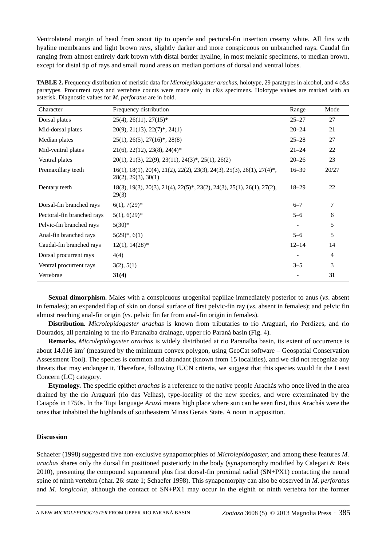Ventrolateral margin of head from snout tip to opercle and pectoral-fin insertion creamy white. All fins with hyaline membranes and light brown rays, slightly darker and more conspicuous on unbranched rays. Caudal fin ranging from almost entirely dark brown with distal border hyaline, in most melanic specimens, to median brown, except for distal tip of rays and small round areas on median portions of dorsal and ventral lobes.

| <b>TABLE 2.</b> Frequency distribution of meristic data for <i>Microlepidogaster arachas</i> , holotype, 29 paratypes in alcohol, and 4 c&s |
|---------------------------------------------------------------------------------------------------------------------------------------------|
| paratypes. Procurrent rays and vertebrae counts were made only in c&s specimens. Holotype values are marked with an                         |
| asterisk. Diagnostic values for <i>M. perforatus</i> are in bold.                                                                           |

| Character                  | Frequency distribution                                                                                           | Range     | Mode  |
|----------------------------|------------------------------------------------------------------------------------------------------------------|-----------|-------|
| Dorsal plates              | $25(4)$ , $26(11)$ , $27(15)^*$                                                                                  | $25 - 27$ | 27    |
| Mid-dorsal plates          | $20(9)$ , $21(13)$ , $22(7)$ <sup>*</sup> , $24(1)$                                                              | $20 - 24$ | 21    |
| Median plates              | $25(1), 26(5), 27(16)^*, 28(8)$                                                                                  | $25 - 28$ | 27    |
| Mid-ventral plates         | $21(6)$ , $22(12)$ , $23(8)$ , $24(4)*$                                                                          | $21 - 24$ | 22    |
| Ventral plates             | $20(1)$ , $21(3)$ , $22(9)$ , $23(11)$ , $24(3)*$ , $25(1)$ , $26(2)$                                            | $20 - 26$ | 23    |
| Premaxillary teeth         | $16(1), 18(1), 20(4), 21(2), 22(2), 23(3), 24(3), 25(3), 26(1), 27(4)*$ ,<br>28(2), 29(3), 30(1)                 | $16 - 30$ | 20/27 |
| Dentary teeth              | $18(3)$ , $19(3)$ , $20(3)$ , $21(4)$ , $22(5)^{*}$ , $23(2)$ , $24(3)$ , $25(1)$ , $26(1)$ , $27(2)$ ,<br>29(3) | $18 - 29$ | 22    |
| Dorsal-fin branched rays   | $6(1), 7(29)^*$                                                                                                  | $6 - 7$   | 7     |
| Pectoral-fin branched rays | $5(1), 6(29)^*$                                                                                                  | $5 - 6$   | 6     |
| Pelvic-fin branched rays   | $5(30)*$                                                                                                         |           | 5     |
| Anal-fin branched rays     | $5(29)^*, 6(1)$                                                                                                  | $5 - 6$   | 5     |
| Caudal-fin branched rays   | $12(1), 14(28)$ *                                                                                                | $12 - 14$ | 14    |
| Dorsal procurrent rays     | 4(4)                                                                                                             |           | 4     |
| Ventral procurrent rays    | 3(2), 5(1)                                                                                                       | $3 - 5$   | 3     |
| Vertebrae                  | 31(4)                                                                                                            |           | 31    |

**Sexual dimorphism.** Males with a conspicuous urogenital papillae immediately posterior to anus (*vs*. absent in females); an expanded flap of skin on dorsal surface of first pelvic-fin ray (*vs*. absent in females); and pelvic fin almost reaching anal-fin origin (*vs*. pelvic fin far from anal-fin origin in females).

**Distribution.** *Microlepidogaster arachas* is known from tributaries to rio Araguari, rio Perdizes, and rio Dourados, all pertaining to the rio Paranaíba drainage, upper rio Paraná basin (Fig. 4).

**Remarks.** *Microlepidogaster arachas* is widely distributed at rio Paranaíba basin, its extent of occurrence is about 14.016 km<sup>2</sup> (measured by the minimum convex polygon, using GeoCat software – Geospatial Conservation Assessment Tool). The species is common and abundant (known from 15 localities), and we did not recognize any threats that may endanger it. Therefore, following IUCN criteria, we suggest that this species would fit the Least Concern (LC) category.

**Etymology.** The specific epithet *arachas* is a reference to the native people Arachás who once lived in the area drained by the rio Araguari (rio das Velhas), type-locality of the new species, and were exterminated by the Caiapós in 1750s. In the Tupi language *Araxá* means high place where sun can be seen first, thus Arachás were the ones that inhabited the highlands of southeastern Minas Gerais State. A noun in apposition.

# **Discussion**

Schaefer (1998) suggested five non-exclusive synapomorphies of *Microlepidogaster*, and among these features *M. arachas* shares only the dorsal fin positioned posteriorly in the body (synapomorphy modified by Calegari & Reis 2010), presenting the compound supraneural plus first dorsal-fin proximal radial (SN+PX1) contacting the neural spine of ninth vertebra (char. 26: state 1; Schaefer 1998). This synapomorphy can also be observed in *M. perforatus* and *M. longicolla*, although the contact of SN+PX1 may occur in the eighth or ninth vertebra for the former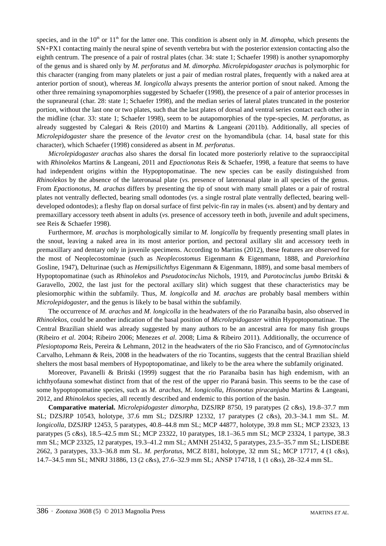species, and in the  $10<sup>th</sup>$  or  $11<sup>th</sup>$  for the latter one. This condition is absent only in *M. dimopha*, which presents the SN+PX1 contacting mainly the neural spine of seventh vertebra but with the posterior extension contacting also the eighth centrum. The presence of a pair of rostral plates (char. 34: state 1; Schaefer 1998) is another synapomorphy of the genus and is shared only by *M. perforatus* and *M. dimorpha*. *Microlepidogaster arachas* is polymorphic for this character (ranging from many platelets or just a pair of median rostral plates, frequently with a naked area at anterior portion of snout), whereas *M. longicolla* always presents the anterior portion of snout naked. Among the other three remaining synapomorphies suggested by Schaefer (1998), the presence of a pair of anterior processes in the supraneural (char. 28: state 1; Schaefer 1998), and the median series of lateral plates truncated in the posterior portion, without the last one or two plates, such that the last plates of dorsal and ventral series contact each other in the midline (char. 33: state 1; Schaefer 1998), seem to be autapomorphies of the type-species, *M. perforatus*, as already suggested by Calegari & Reis (2010) and Martins & Langeani (2011b). Additionally, all species of *Microlepidogaster* share the presence of the *levator crest* on the hyomandibula (char. 14, basal state for this character), which Schaefer (1998) considered as absent in *M. perforatus*.

*Microlepidogaster arachas* also shares the dorsal fin located more posteriorly relative to the supraoccipital with *Rhinolekos* Martins & Langeani, 2011 and *Epactionotus* Reis & Schaefer, 1998, a feature that seems to have had independent origins within the Hypoptopomatinae. The new species can be easily distinguished from *Rhinolekos* by the absence of the lateronasal plate (*vs.* presence of lateronasal plate in all species of the genus. From *Epactionotus*, *M. arachas* differs by presenting the tip of snout with many small plates or a pair of rostral plates not ventrally deflected, bearing small odontodes (*vs*. a single rostral plate ventrally deflected, bearing welldeveloped odontodes); a fleshy flap on dorsal surface of first pelvic-fin ray in males (*vs.* absent) and by dentary and premaxillary accessory teeth absent in adults (*vs.* presence of accessory teeth in both, juvenile and adult specimens, see Reis & Schaefer 1998).

Furthermore, *M. arachas* is morphologically similar to *M. longicolla* by frequently presenting small plates in the snout, leaving a naked area in its most anterior portion, and pectoral axillary slit and accessory teeth in premaxillary and dentary only in juvenile specimens. According to Martins (2012), these features are observed for the most of Neoplecostominae (such as *Neoplecostomus* Eigenmann & Eigenmann, 1888, and *Pareiorhina* Gosline, 1947), Delturinae (such as *Hemipsilichthys* Eigenmann & Eigenmann, 1889), and some basal members of Hypoptopomatinae (such as *Rhinolekos* and *Pseudotocinclus* Nichols, 1919, and *Parotocinclus jumbo* Britski & Garavello, 2002, the last just for the pectoral axillary slit) which suggest that these characteristics may be plesiomorphic within the subfamily. Thus, *M. longicolla* and *M. arachas* are probably basal members within *Microlepidogaster*, and the genus is likely to be basal within the subfamily.

The occurrence of *M. arachas* and *M. longicolla* in the headwaters of the rio Paranaíba basin, also observed in *Rhinolekos*, could be another indication of the basal position of *Microlepidogaster* within Hypoptopomatinae. The Central Brazilian shield was already suggested by many authors to be an ancestral area for many fish groups (Ribeiro *et al*. 2004; Ribeiro 2006; Menezes *et al*. 2008; Lima & Ribeiro 2011). Additionally, the occurrence of *Plesioptopoma* Reis, Pereira & Lehmann, 2012 in the headwaters of the rio São Francisco, and of *Gymnotocinclus* Carvalho, Lehmann & Reis, 2008 in the headwaters of the rio Tocantins, suggests that the central Brazilian shield shelters the most basal members of Hypoptopomatinae, and likely to be the area where the subfamily originated.

Moreover, Pavanelli & Britski (1999) suggest that the rio Paranaíba basin has high endemism, with an ichthyofauna somewhat distinct from that of the rest of the upper rio Paraná basin. This seems to be the case of some hypoptopomatine species, such as *M. arachas*, *M. longicolla*, *Hisonotus piracanjuba* Martins & Langeani, 2012, and *Rhinolekos* species, all recently described and endemic to this portion of the basin.

**Comparative material.** *Microlepidogaster dimorpha*, DZSJRP 8750, 19 paratypes (2 c&s), 19.8–37.7 mm SL; DZSJRP 10543, holotype, 37.6 mm SL; DZSJRP 12332, 17 paratypes (2 c&s), 20.3–34.1 mm SL. *M. longicolla*, DZSJRP 12453, 5 paratypes, 40.8–44.8 mm SL; MCP 44877, holotype, 39.8 mm SL; MCP 23323, 13 paratypes (5 c&s), 18.5–42.5 mm SL; MCP 23322, 10 paratypes, 18.1–36.5 mm SL; MCP 23324, 1 partype, 38.3 mm SL; MCP 23325, 12 paratypes, 19.3–41.2 mm SL; AMNH 251432, 5 paratypes, 23.5–35.7 mm SL; LISDEBE 2662, 3 paratypes, 33.3–36.8 mm SL. *M. perforatus*, MCZ 8181, holotype, 32 mm SL; MCP 17717, 4 (1 c&s), 14.7–34.5 mm SL; MNRJ 31886, 13 (2 c&s), 27.6–32.9 mm SL; ANSP 174718, 1 (1 c&s), 28–32.4 mm SL.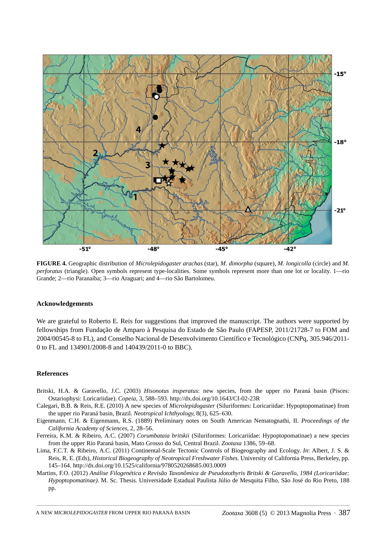

**FIGURE 4.** Geographic distribution of *Microlepidogaster arachas* (star), *M. dimorpha* (square), *M. longicolla* (circle) and *M. perforatus* (triangle). Open symbols represent type-localities. Some symbols represent more than one lot or locality. 1—rio Grande; 2—rio Paranaíba; 3—rio Araguari; and 4—rio São Bartolomeu.

### **Acknowledgements**

We are grateful to Roberto E. Reis for suggestions that improved the manuscript. The authors were supported by fellowships from Fundação de Amparo à Pesquisa do Estado de São Paulo (FAPESP, 2011/21728-7 to FOM and 2004/00545-8 to FL), and Conselho Nacional de Desenvolvimento Científico e Tecnológico (CNPq, 305.946/2011- 0 to FL and 134901/2008-8 and 140439/2011-0 to BBC).

## **References**

- Britski, H.A. & Garavello, J.C. (2003) *Hisonotus insperatus*: new species, from the upper rio Paraná basin (Pisces: Ostariophysi: Loricariidae). *Copeia*, 3, 588–593. http://dx.doi.org/10.1643/CI-02-23R
- Calegari, B.B. & Reis, R.E. (2010) A new species of *Microlepidogaster* (Siluriformes: Loricariidae: Hypoptopomatinae) from the upper rio Paraná basin, Brazil. *Neotropical Ichthyology*, 8(3), 625–630.
- Eigenmann, C.H. & Eigenmann, R.S. (1889) Preliminary notes on South American Nematognathi, II. *Proceedings of the California Academy of Sciences*, 2, 28–56.
- Ferreira, K.M. & Ribeiro, A.C. (2007) *Corumbataia britskii* (Siluriformes: Loricariidae: Hypoptopomatinae) a new species from the upper Rio Paraná basin, Mato Grosso do Sul, Central Brazil. *Zootaxa* 1386, 59–68.
- Lima, F.C.T. & Ribeiro, A.C. (2011) Continental-Scale Tectonic Controls of Biogeography and Ecology. *In*: Albert, J. S. & Reis, R. E. (Eds), *Historical Biogeography of Neotropical Freshwater Fishes*. University of California Press, Berkeley, pp. 145–164. http://dx.doi.org/10.1525/california/9780520268685.003.0009
- Martins, F.O. (2012) *Análise Filogenética e Revisão Taxonômica de Pseudotothyris Britski & Garavello, 1984 (Loricariidae: Hypoptopomatinae)*. M. Sc. Thesis. Universidade Estadual Paulista Júlio de Mesquita Filho, São José do Rio Preto, 188 pp.